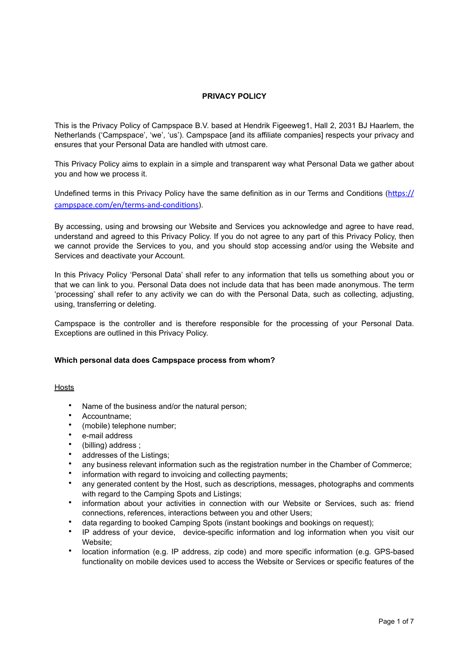# **PRIVACY POLICY**

This is the Privacy Policy of Campspace B.V. based at Hendrik Figeeweg1, Hall 2, 2031 BJ Haarlem, the Netherlands ('Campspace', 'we', 'us'). Campspace [and its affiliate companies] respects your privacy and ensures that your Personal Data are handled with utmost care.

This Privacy Policy aims to explain in a simple and transparent way what Personal Data we gather about you and how we process it.

Undefined terms in this Privacy Policy have the same definition as in our Terms and Conditions ([https://](https://campspace.com/en/terms-and-conditions) [campspace.com/en/terms-and-conditions](https://campspace.com/en/terms-and-conditions)).

By accessing, using and browsing our Website and Services you acknowledge and agree to have read, understand and agreed to this Privacy Policy. If you do not agree to any part of this Privacy Policy, then we cannot provide the Services to you, and you should stop accessing and/or using the Website and Services and deactivate your Account.

In this Privacy Policy 'Personal Data' shall refer to any information that tells us something about you or that we can link to you. Personal Data does not include data that has been made anonymous. The term 'processing' shall refer to any activity we can do with the Personal Data, such as collecting, adjusting, using, transferring or deleting.

Campspace is the controller and is therefore responsible for the processing of your Personal Data. Exceptions are outlined in this Privacy Policy.

## **Which personal data does Campspace process from whom?**

Hosts

- Name of the business and/or the natural person;
- Accountname;
- (mobile) telephone number;
- e-mail address
- (billing) address ;
- addresses of the Listings;
- any business relevant information such as the registration number in the Chamber of Commerce;
- information with regard to invoicing and collecting payments;
- any generated content by the Host, such as descriptions, messages, photographs and comments with regard to the Camping Spots and Listings:
- information about your activities in connection with our Website or Services, such as: friend connections, references, interactions between you and other Users;
- data regarding to booked Camping Spots (instant bookings and bookings on request);
- IP address of your device, device-specific information and log information when you visit our Website;
- location information (e.g. IP address, zip code) and more specific information (e.g. GPS-based functionality on mobile devices used to access the Website or Services or specific features of the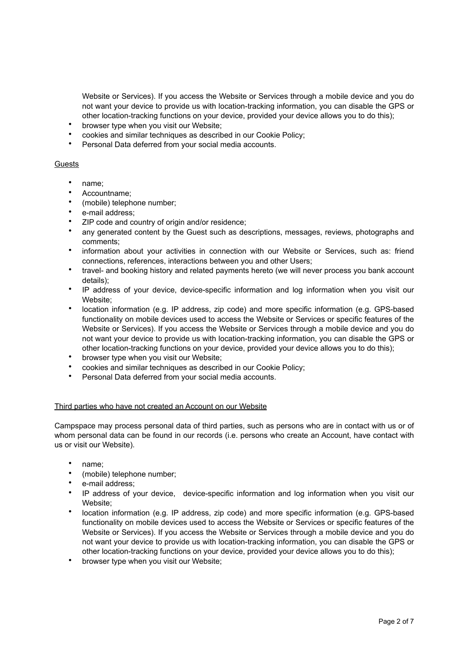Website or Services). If you access the Website or Services through a mobile device and you do not want your device to provide us with location-tracking information, you can disable the GPS or other location-tracking functions on your device, provided your device allows you to do this);

- browser type when you visit our Website;
- cookies and similar techniques as described in our Cookie Policy;
- Personal Data deferred from your social media accounts.

## **Guests**

- name;
- Accountname;
- (mobile) telephone number;
- e-mail address;
- ZIP code and country of origin and/or residence;
- any generated content by the Guest such as descriptions, messages, reviews, photographs and comments;
- information about your activities in connection with our Website or Services, such as: friend connections, references, interactions between you and other Users;
- travel- and booking history and related payments hereto (we will never process you bank account details);
- IP address of your device, device-specific information and log information when you visit our Website;
- location information (e.g. IP address, zip code) and more specific information (e.g. GPS-based functionality on mobile devices used to access the Website or Services or specific features of the Website or Services). If you access the Website or Services through a mobile device and you do not want your device to provide us with location-tracking information, you can disable the GPS or other location-tracking functions on your device, provided your device allows you to do this);
- browser type when you visit our Website;
- cookies and similar techniques as described in our Cookie Policy;
- Personal Data deferred from your social media accounts.

## Third parties who have not created an Account on our Website

Campspace may process personal data of third parties, such as persons who are in contact with us or of whom personal data can be found in our records (i.e. persons who create an Account, have contact with us or visit our Website).

- name;
- (mobile) telephone number;
- e-mail address:
- IP address of your device, device-specific information and log information when you visit our Website;
- location information (e.g. IP address, zip code) and more specific information (e.g. GPS-based functionality on mobile devices used to access the Website or Services or specific features of the Website or Services). If you access the Website or Services through a mobile device and you do not want your device to provide us with location-tracking information, you can disable the GPS or other location-tracking functions on your device, provided your device allows you to do this);
- browser type when you visit our Website;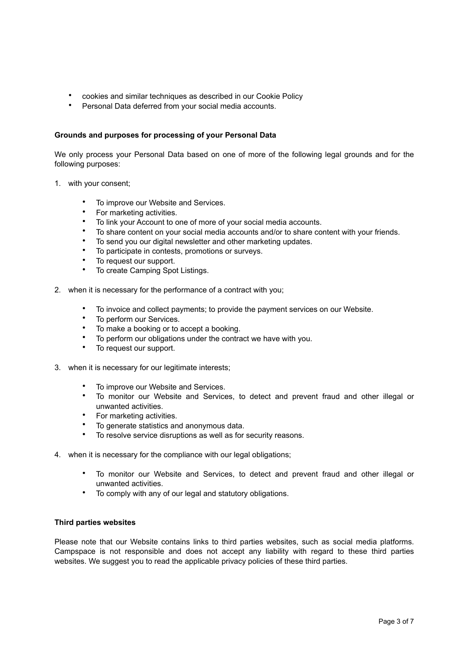- cookies and similar techniques as described in our Cookie Policy
- Personal Data deferred from your social media accounts.

## **Grounds and purposes for processing of your Personal Data**

We only process your Personal Data based on one of more of the following legal grounds and for the following purposes:

- 1. with your consent;
	- To improve our Website and Services.
	- For marketing activities.
	- To link your Account to one of more of your social media accounts.
	- To share content on your social media accounts and/or to share content with your friends.
	- To send you our digital newsletter and other marketing updates.
	- To participate in contests, promotions or surveys.
	- To request our support.
	- To create Camping Spot Listings.
- 2. when it is necessary for the performance of a contract with you;
	- To invoice and collect payments; to provide the payment services on our Website.
	- To perform our Services.
	- To make a booking or to accept a booking.
	- To perform our obligations under the contract we have with you.
	- To request our support.
- 3. when it is necessary for our legitimate interests;
	- To improve our Website and Services.
	- To monitor our Website and Services, to detect and prevent fraud and other illegal or unwanted activities.
	- For marketing activities.
	- To generate statistics and anonymous data.<br>• To resolve service discuptions as well as for
	- To resolve service disruptions as well as for security reasons.
- 4. when it is necessary for the compliance with our legal obligations;
	- To monitor our Website and Services, to detect and prevent fraud and other illegal or unwanted activities.
	- To comply with any of our legal and statutory obligations.

### **Third parties websites**

Please note that our Website contains links to third parties websites, such as social media platforms. Campspace is not responsible and does not accept any liability with regard to these third parties websites. We suggest you to read the applicable privacy policies of these third parties.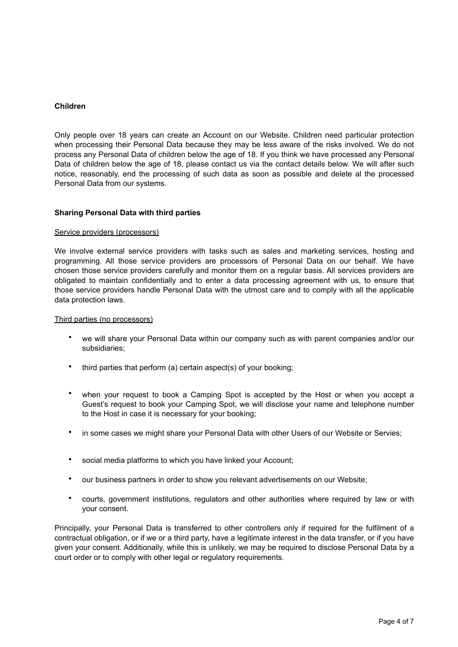### **Children**

Only people over 18 years can create an Account on our Website. Children need particular protection when processing their Personal Data because they may be less aware of the risks involved. We do not process any Personal Data of children below the age of 18. If you think we have processed any Personal Data of children below the age of 18, please contact us via the contact details below. We will after such notice, reasonably, end the processing of such data as soon as possible and delete al the processed Personal Data from our systems.

### **Sharing Personal Data with third parties**

#### Service providers (processors)

We involve external service providers with tasks such as sales and marketing services, hosting and programming. All those service providers are processors of Personal Data on our behalf. We have chosen those service providers carefully and monitor them on a regular basis. All services providers are obligated to maintain confidentially and to enter a data processing agreement with us, to ensure that those service providers handle Personal Data with the utmost care and to comply with all the applicable data protection laws.

#### Third parties (no processors)

- we will share your Personal Data within our company such as with parent companies and/or our subsidiaries;
- third parties that perform (a) certain aspect(s) of your booking;
- when your request to book a Camping Spot is accepted by the Host or when you accept a Guest's request to book your Camping Spot, we will disclose your name and telephone number to the Host in case it is necessary for your booking;
- in some cases we might share your Personal Data with other Users of our Website or Servies;
- social media platforms to which you have linked your Account;
- our business partners in order to show you relevant advertisements on our Website;
- courts, government institutions, regulators and other authorities where required by law or with your consent.

Principally, your Personal Data is transferred to other controllers only if required for the fulfilment of a contractual obligation, or if we or a third party, have a legitimate interest in the data transfer, or if you have given your consent. Additionally, while this is unlikely, we may be required to disclose Personal Data by a court order or to comply with other legal or regulatory requirements.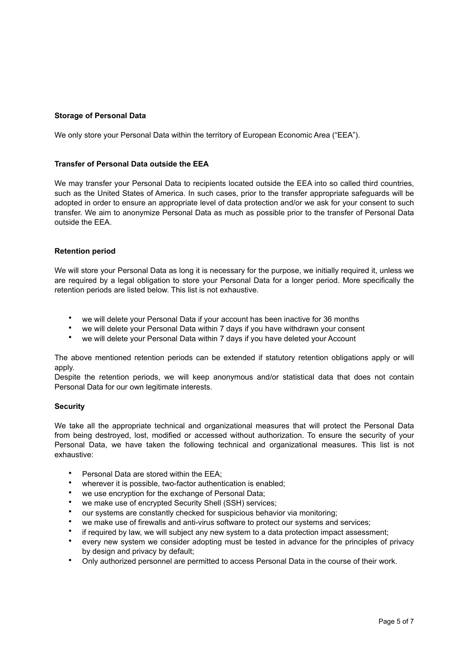# **Storage of Personal Data**

We only store your Personal Data within the territory of European Economic Area ("EEA").

## **Transfer of Personal Data outside the EEA**

We may transfer your Personal Data to recipients located outside the EEA into so called third countries, such as the United States of America. In such cases, prior to the transfer appropriate safeguards will be adopted in order to ensure an appropriate level of data protection and/or we ask for your consent to such transfer. We aim to anonymize Personal Data as much as possible prior to the transfer of Personal Data outside the EEA.

## **Retention period**

We will store your Personal Data as long it is necessary for the purpose, we initially required it, unless we are required by a legal obligation to store your Personal Data for a longer period. More specifically the retention periods are listed below. This list is not exhaustive.

- we will delete your Personal Data if your account has been inactive for 36 months
- we will delete your Personal Data within 7 days if you have withdrawn your consent
- we will delete your Personal Data within 7 days if you have deleted your Account

The above mentioned retention periods can be extended if statutory retention obligations apply or will apply.

Despite the retention periods, we will keep anonymous and/or statistical data that does not contain Personal Data for our own legitimate interests.

## **Security**

We take all the appropriate technical and organizational measures that will protect the Personal Data from being destroyed, lost, modified or accessed without authorization. To ensure the security of your Personal Data, we have taken the following technical and organizational measures. This list is not exhaustive:

- Personal Data are stored within the EEA;
- wherever it is possible, two-factor authentication is enabled:
- we use encryption for the exchange of Personal Data;
- we make use of encrypted Security Shell (SSH) services;
- our systems are constantly checked for suspicious behavior via monitoring;
- we make use of firewalls and anti-virus software to protect our systems and services;
- if required by law, we will subject any new system to a data protection impact assessment;
- every new system we consider adopting must be tested in advance for the principles of privacy by design and privacy by default;
- Only authorized personnel are permitted to access Personal Data in the course of their work.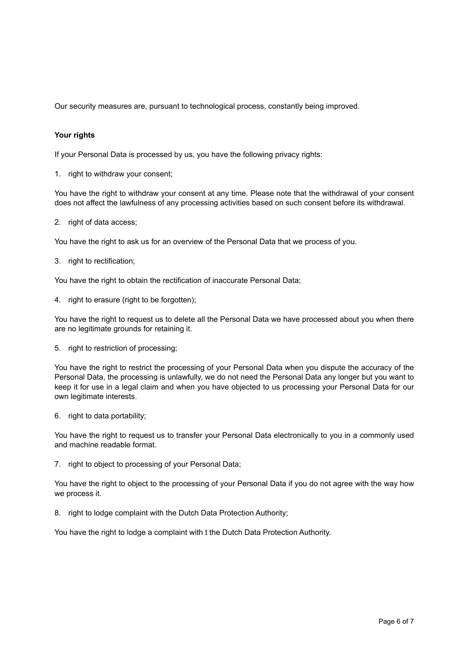Our security measures are, pursuant to technological process, constantly being improved.

## **Your rights**

If your Personal Data is processed by us, you have the following privacy rights:

1. right to withdraw your consent;

You have the right to withdraw your consent at any time. Please note that the withdrawal of your consent does not affect the lawfulness of any processing activities based on such consent before its withdrawal.

2. right of data access;

You have the right to ask us for an overview of the Personal Data that we process of you.

3. right to rectification;

You have the right to obtain the rectification of inaccurate Personal Data;

4. right to erasure (right to be forgotten);

You have the right to request us to delete all the Personal Data we have processed about you when there are no legitimate grounds for retaining it.

5. right to restriction of processing;

You have the right to restrict the processing of your Personal Data when you dispute the accuracy of the Personal Data, the processing is unlawfully, we do not need the Personal Data any longer but you want to keep it for use in a legal claim and when you have objected to us processing your Personal Data for our own legitimate interests.

6. right to data portability;

You have the right to request us to transfer your Personal Data electronically to you in a commonly used and machine readable format.

7. right to object to processing of your Personal Data;

You have the right to object to the processing of your Personal Data if you do not agree with the way how we process it.

8. right to lodge complaint with the Dutch Data Protection Authority;

You have the right to lodge a complaint with t the Dutch Data Protection Authority.